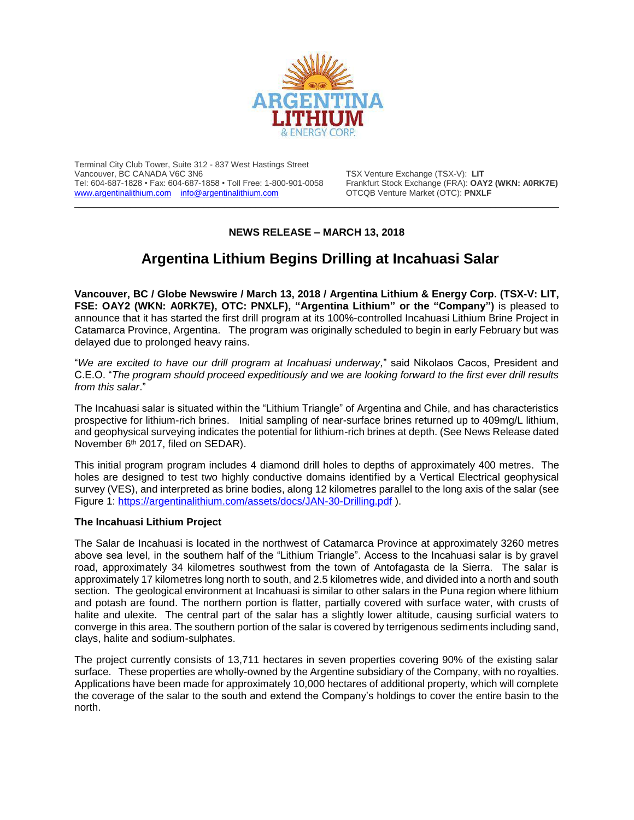

Terminal City Club Tower, Suite 312 - 837 West Hastings Street Vancouver, BC CANADA V6C 3N6<br>Tel: 604-687-1828 • Fax: 604-687-1858 • Toll Free: 1-800-901-0058 Frankfurt Stock Exchange (FRA): **OAY2 (WKN: A0RK7E)** Tel: 604-687-1828 • Fax: 604-687-1858 • Toll Free: 1-800-901-0058 Frankfurt Stock Exchange (FRA): OAY2<br>
www.argentinalithium.com info@argentinalithium.com OTCQB Venture Market (OTC): PNXLF [www.argentinalithium.com](http://www.argentinalithium.com/) [info@argentinalithium.com](mailto:info@argentinalithium.com)

## **NEWS RELEASE – MARCH 13, 2018**

 $\_$  , and the state of the state of the state of the state of the state of the state of the state of the state of the state of the state of the state of the state of the state of the state of the state of the state of the

## **Argentina Lithium Begins Drilling at Incahuasi Salar**

**Vancouver, BC / Globe Newswire / March 13, 2018 / Argentina Lithium & Energy Corp. (TSX-V: LIT, FSE: OAY2 (WKN: A0RK7E), OTC: PNXLF), "Argentina Lithium" or the "Company")** is pleased to announce that it has started the first drill program at its 100%-controlled Incahuasi Lithium Brine Project in Catamarca Province, Argentina. The program was originally scheduled to begin in early February but was delayed due to prolonged heavy rains.

"*We are excited to have our drill program at Incahuasi underway,*" said Nikolaos Cacos, President and C.E.O. "*The program should proceed expeditiously and we are looking forward to the first ever drill results from this salar*."

The Incahuasi salar is situated within the "Lithium Triangle" of Argentina and Chile, and has characteristics prospective for lithium-rich brines. Initial sampling of near-surface brines returned up to 409mg/L lithium, and geophysical surveying indicates the potential for lithium-rich brines at depth. (See News Release dated November 6th 2017, filed on SEDAR).

This initial program program includes 4 diamond drill holes to depths of approximately 400 metres. The holes are designed to test two highly conductive domains identified by a Vertical Electrical geophysical survey (VES), and interpreted as brine bodies, along 12 kilometres parallel to the long axis of the salar (see Figure 1:<https://argentinalithium.com/assets/docs/JAN-30-Drilling.pdf> ).

## **The Incahuasi Lithium Project**

The Salar de Incahuasi is located in the northwest of Catamarca Province at approximately 3260 metres above sea level, in the southern half of the "Lithium Triangle". Access to the Incahuasi salar is by gravel road, approximately 34 kilometres southwest from the town of Antofagasta de la Sierra. The salar is approximately 17 kilometres long north to south, and 2.5 kilometres wide, and divided into a north and south section. The geological environment at Incahuasi is similar to other salars in the Puna region where lithium and potash are found. The northern portion is flatter, partially covered with surface water, with crusts of halite and ulexite. The central part of the salar has a slightly lower altitude, causing surficial waters to converge in this area. The southern portion of the salar is covered by terrigenous sediments including sand, clays, halite and sodium-sulphates.

The project currently consists of 13,711 hectares in seven properties covering 90% of the existing salar surface. These properties are wholly-owned by the Argentine subsidiary of the Company, with no royalties. Applications have been made for approximately 10,000 hectares of additional property, which will complete the coverage of the salar to the south and extend the Company's holdings to cover the entire basin to the north.